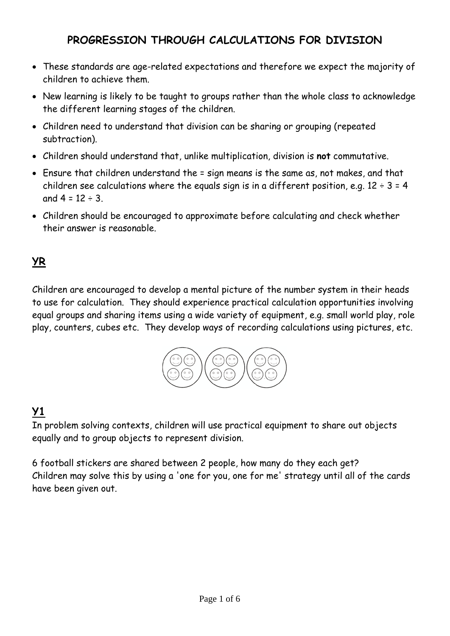## **PROGRESSION THROUGH CALCULATIONS FOR DIVISION**

- These standards are age-related expectations and therefore we expect the majority of children to achieve them.
- New learning is likely to be taught to groups rather than the whole class to acknowledge the different learning stages of the children.
- Children need to understand that division can be sharing or grouping (repeated subtraction).
- Children should understand that, unlike multiplication, division is **not** commutative.
- Ensure that children understand the = sign means is the same as, not makes, and that children see calculations where the equals sign is in a different position, e.g.  $12 \div 3 = 4$ and  $4 = 12 \div 3$ .
- Children should be encouraged to approximate before calculating and check whether their answer is reasonable.

### **YR**

Children are encouraged to develop a mental picture of the number system in their heads to use for calculation. They should experience practical calculation opportunities involving equal groups and sharing items using a wide variety of equipment, e.g. small world play, role play, counters, cubes etc. They develop ways of recording calculations using pictures, etc.



## **Y1**

In problem solving contexts, children will use practical equipment to share out objects equally and to group objects to represent division.

6 football stickers are shared between 2 people, how many do they each get? Children may solve this by using a 'one for you, one for me' strategy until all of the cards have been given out.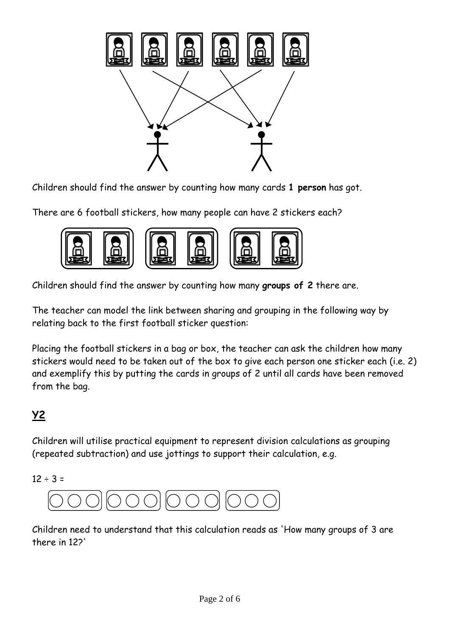

Children should find the answer by counting how many cards **1 person** has got.

There are 6 football stickers, how many people can have 2 stickers each?



Children should find the answer by counting how many **groups of 2** there are.

The teacher can model the link between sharing and grouping in the following way by relating back to the first football sticker question:

Placing the football stickers in a bag or box, the teacher can ask the children how many stickers would need to be taken out of the box to give each person one sticker each (i.e. 2) and exemplify this by putting the cards in groups of 2 until all cards have been removed from the bag.

## **Y2**

Children will utilise practical equipment to represent division calculations as grouping (repeated subtraction) and use jottings to support their calculation, e.g.

 $12 \div 3 =$ 



Children need to understand that this calculation reads as 'How many groups of 3 are there in 12?'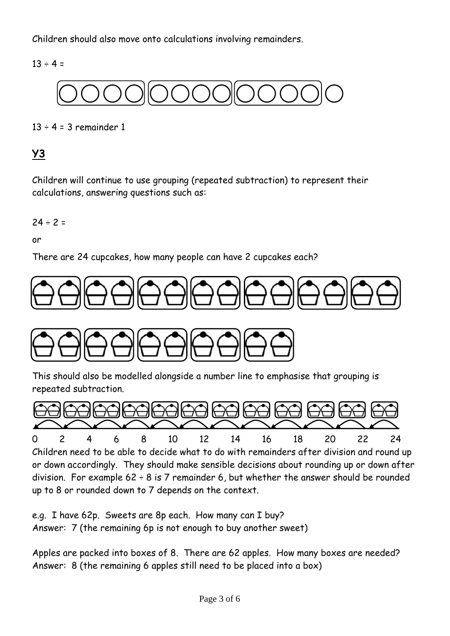Children should also move onto calculations involving remainders.

 $13 \div 4 =$ 



 $13 \div 4 = 3$  remainder 1

### **Y3**

Children will continue to use grouping (repeated subtraction) to represent their calculations, answering questions such as:

$$
24 \div 2 =
$$

or

There are 24 cupcakes, how many people can have 2 cupcakes each?





This should also be modelled alongside a number line to emphasise that grouping is repeated subtraction.



Children need to be able to decide what to do with remainders after division and round up or down accordingly. They should make sensible decisions about rounding up or down after division. For example  $62 \div 8$  is 7 remainder 6, but whether the answer should be rounded up to 8 or rounded down to 7 depends on the context.

e.g. I have 62p. Sweets are 8p each. How many can I buy? Answer: 7 (the remaining 6p is not enough to buy another sweet)

Apples are packed into boxes of 8. There are 62 apples. How many boxes are needed? Answer: 8 (the remaining 6 apples still need to be placed into a box)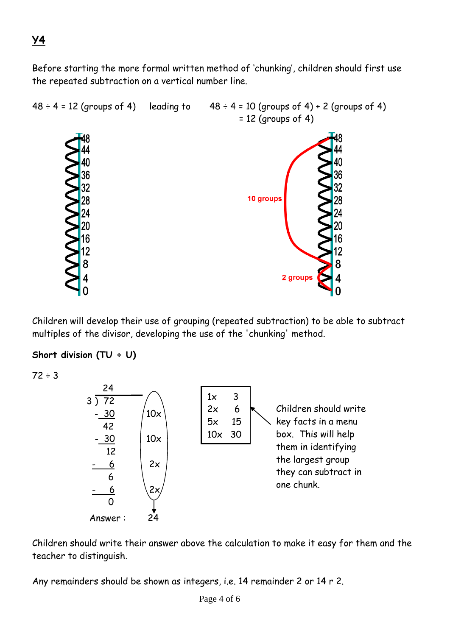Before starting the more formal written method of 'chunking', children should first use the repeated subtraction on a vertical number line.



Children will develop their use of grouping (repeated subtraction) to be able to subtract multiples of the divisor, developing the use of the 'chunking' method.

#### **Short division (TU ÷ U)**

 $72 \div 3$ 



Children should write their answer above the calculation to make it easy for them and the teacher to distinguish.

Any remainders should be shown as integers, i.e. 14 remainder 2 or 14 r 2.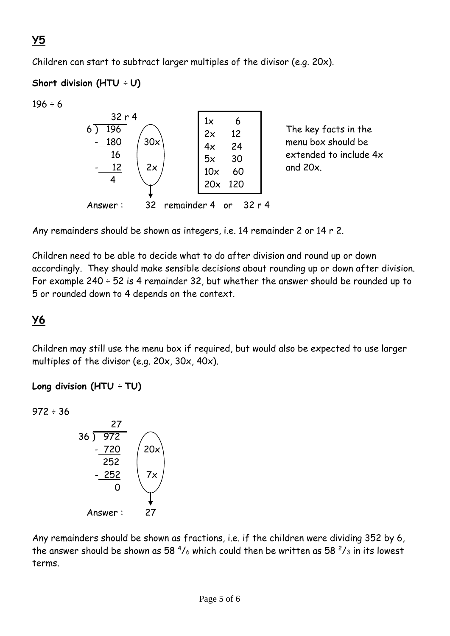# **Y5**

Children can start to subtract larger multiples of the divisor (e.g. 20x).

### **Short division (HTU** ÷ **U)**

 $196 \div 6$ 



Any remainders should be shown as integers, i.e. 14 remainder 2 or 14 r 2.

Children need to be able to decide what to do after division and round up or down accordingly. They should make sensible decisions about rounding up or down after division. For example 240  $\div$  52 is 4 remainder 32, but whether the answer should be rounded up to 5 or rounded down to 4 depends on the context.

# **Y6**

Children may still use the menu box if required, but would also be expected to use larger multiples of the divisor (e.g. 20x, 30x, 40x).

### **Long division (HTU** ÷ **TU)**

 $972 \div 36$ 



Any remainders should be shown as fractions, i.e. if the children were dividing 352 by 6, the answer should be shown as 58  $\frac{4}{6}$  which could then be written as 58  $\frac{2}{3}$  in its lowest terms.